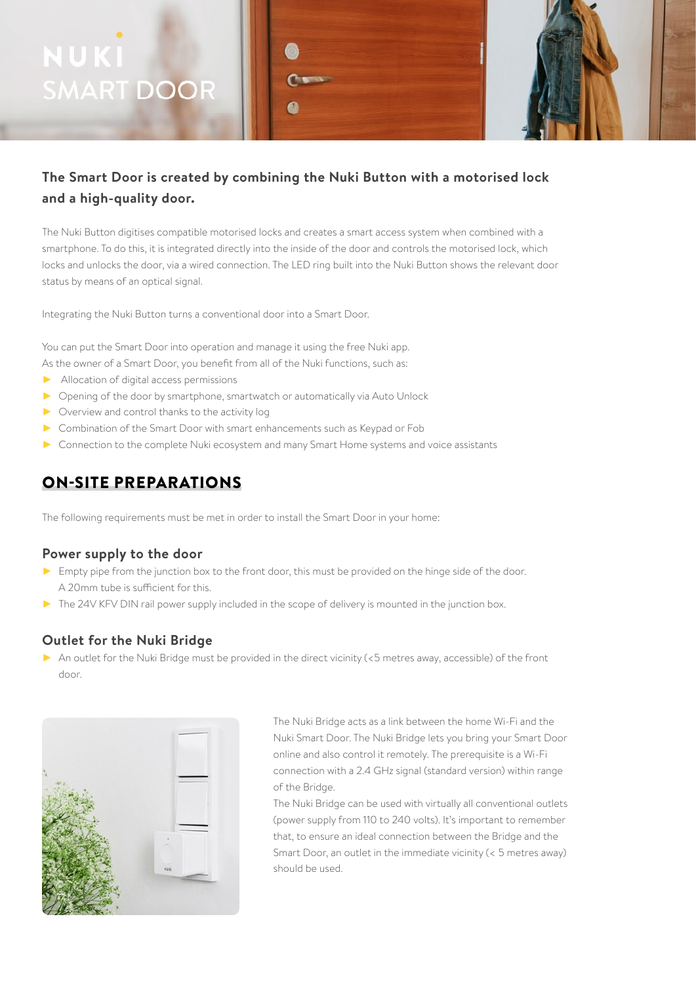# NUKI **SMART DOOR**

## **The Smart Door is created by combining the Nuki Button with a motorised lock and a high-quality door.**

The Nuki Button digitises compatible motorised locks and creates a smart access system when combined with a smartphone. To do this, it is integrated directly into the inside of the door and controls the motorised lock, which locks and unlocks the door, via a wired connection. The LED ring built into the Nuki Button shows the relevant door status by means of an optical signal.

Integrating the Nuki Button turns a conventional door into a Smart Door.

You can put the Smart Door into operation and manage it using the free Nuki app. As the owner of a Smart Door, you benefit from all of the Nuki functions, such as:

- ► Allocation of digital access permissions
- ► Opening of the door by smartphone, smartwatch or automatically via Auto Unlock
- ► Overview and control thanks to the activity log
- ► Combination of the Smart Door with smart enhancements such as Keypad or Fob
- ► Connection to the complete Nuki ecosystem and many Smart Home systems and voice assistants

### ON-SITE PREPARATIONS

The following requirements must be met in order to install the Smart Door in your home:

#### **Power supply to the door**

- ► Empty pipe from the junction box to the front door, this must be provided on the hinge side of the door. A 20mm tube is sufficient for this.
- ► The 24V KFV DIN rail power supply included in the scope of delivery is mounted in the junction box.

#### **Outlet for the Nuki Bridge**

► An outlet for the Nuki Bridge must be provided in the direct vicinity (<5 metres away, accessible) of the front door.



The Nuki Bridge acts as a link between the home Wi-Fi and the Nuki Smart Door. The Nuki Bridge lets you bring your Smart Door online and also control it remotely. The prerequisite is a Wi-Fi connection with a 2.4 GHz signal (standard version) within range of the Bridge.

The Nuki Bridge can be used with virtually all conventional outlets (power supply from 110 to 240 volts). It's important to remember that, to ensure an ideal connection between the Bridge and the Smart Door, an outlet in the immediate vicinity (< 5 metres away) should be used.